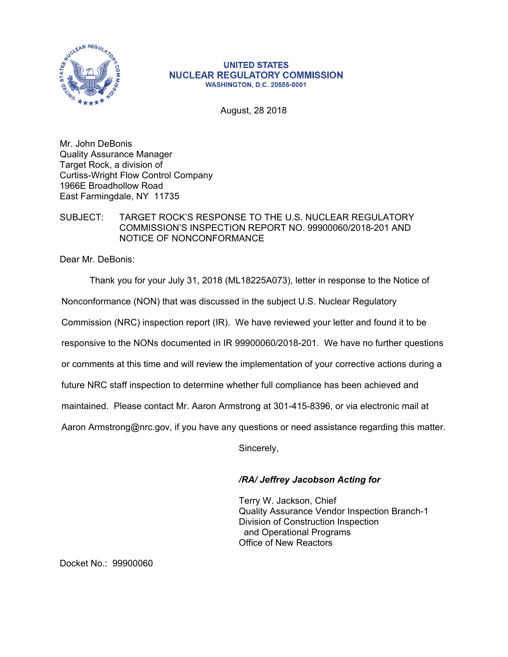

## **UNITED STATES NUCLEAR REGULATORY COMMISSION WASHINGTON, D.C. 20555-0001**

August, 28 2018

Mr. John DeBonis Quality Assurance Manager Target Rock, a division of Curtiss-Wright Flow Control Company 1966E Broadhollow Road East Farmingdale, NY 11735

## SUBJECT: TARGET ROCK'S RESPONSE TO THE U.S. NUCLEAR REGULATORY COMMISSION'S INSPECTION REPORT NO. 99900060/2018-201 AND NOTICE OF NONCONFORMANCE

Dear Mr. DeBonis:

Thank you for your July 31, 2018 (ML18225A073), letter in response to the Notice of Nonconformance (NON) that was discussed in the subject U.S. Nuclear Regulatory Commission (NRC) inspection report (IR). We have reviewed your letter and found it to be responsive to the NONs documented in IR 99900060/2018-201. We have no further questions or comments at this time and will review the implementation of your corrective actions during a future NRC staff inspection to determine whether full compliance has been achieved and maintained. Please contact Mr. Aaron Armstrong at 301-415-8396, or via electronic mail at Aaron Armstrong@nrc.gov, if you have any questions or need assistance regarding this matter.

Sincerely,

## */RA/ Jeffrey Jacobson Acting for*

Terry W. Jackson, Chief Quality Assurance Vendor Inspection Branch-1 Division of Construction Inspection and Operational Programs Office of New Reactors

Docket No.: 99900060